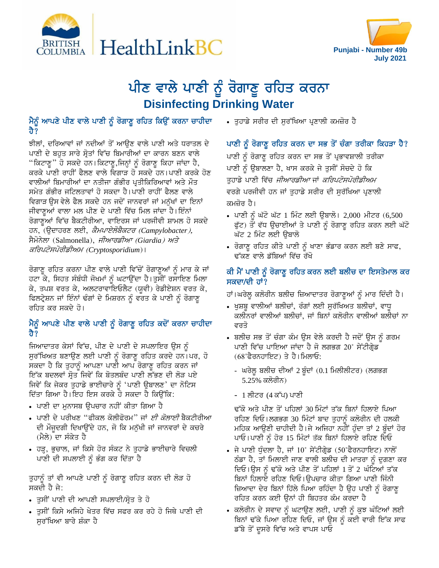



# ਪੀਣ ਵਾਲੇ ਪਾਣੀ ਨੂੰ ਰੋਗਾਣੂ ਰਹਿਤ ਕਰਨਾ **Disinfecting Drinking Water**

## ਮੈਨੂੰ ਆਪਣੇ ਪੀਣ ਵਾਲੇ ਪਾਣੀ ਨੂੰ ਰੋਗਾਣੂ ਰਹਿਤ ਕਿਉਂ ਕਰਨਾ ਚਾਹੀਦਾ ਹੈ?

ਝੀਲਾਂ, ਦਰਿਆਵਾਂ ਜਾਂ ਨਦੀਆਂ ਤੋਂ ਆਉਣ ਵਾਲੇ ਪਾਣੀ ਅਤੇ ਧਰਾਤਲ ਦੇ ਪਾਣੀ ਦੇ ਬਹੁਤ ਸਾਰੇ ਸ੍ਰੋਤਾਂ ਵਿੱਚ ਬਿਮਾਰੀਆਂ ਦਾ ਕਾਰਨ ਬਣਨ ਵਾਲੇ "ਕਿਟਾਣੂ" ਹੋ ਸਕਦੇ ਹਨ।ਕਿਟਾਣੂ,ਜਿਨ੍ਹਾਂ ਨੂੰ ਰੋਗਾਣੂ ਕਿਹਾ ਜਾਂਦਾ ਹੈ, ਕਰਕੇ ਪਾਣੀ ਰਾਹੀਂ ਫੈਲਣ ਵਾਲੇ ਵਿਗਾੜ ਹੋ ਸਕਦੇ ਹਨ।ਪਾਣੀ ਕਰਕੇ ਹੋਣ ਵਾਲੀਆਂ ਬਿਮਾਰੀਆਂ ਦਾ ਨਤੀਜਾ ਗੰਭੀਰ ਪ੍ਰਤੀਕਿਰਿਆਵਾਂ ਅਤੇ ਮੌਤ ਸਮੇਤ ਗੰਭੀਰ ਜਟਿਲਤਾਵਾਂ ਹੋ ਸਕਦਾ ਹੈ।ਪਾਣੀ ਰਾਹੀਂ ਫੈਲਣ ਵਾਲੇ ਵਿਗਾੜ ਉਸ ਵੇਲੇ ਫੈਲ ਸਕਦੇ ਹਨ ਜਦੋਂ ਜਾਨਵਰਾਂ ਜਾਂ ਮਨੁੱਖਾਂ ਦਾ ਇਨਾਂ ਜੀਵਾਣੂਆਂ ਵਾਲਾ ਮਲ ਪੀਣ ਦੇ ਪਾਣੀ ਵਿੱਚ ਮਿਲ ਜਾਂਦਾ ਹੈ।ਇੰਨਾਂ ਰੋਗਾਣੂਆਂ ਵਿੱਚ ਬੈਕਟੀਰੀਆ, ਵਾਇਰਸ ਜਾਂ ਪਰਜੀਵੀ ਸ਼ਾਮਲ ਹੋ ਸਕਦੇ ਹਨ, (ਉਦਾਹਰਣ ਲਈ, *ਕੈਮਪਾਏਲੋਬੈਕਟਰ (Campylobacter),* ਸੈਮੋਨੇਲਾ (Salmonella), *ਜੀਆਰਡੀਆ (Giardia) ਅਤੇ* ਕਰਿਪਟੋਸਪੋਰੀਡੀਅਮ (Cryptosporidium)।

ਰੋਗਾਣੂ ਰਹਿਤ ਕਰਨਾ ਪੀਣ ਵਾਲੇ ਪਾਣੀ ਵਿੱਚੋਂ ਰੋਗਾਣੂਆਂ ਨੂੰ ਮਾਰ ਕੇ ਜਾਂ ਹਟਾ ਕੇ, ਸਿਹਤ ਸੰਬੰਧੀ ਜੋਖਮਾਂ ਨੂੰ ਘਟਾਉਂਦਾ ਹੈ।ਤੁਸੀਂ ਰਸਾਇਣ ਮਿਲਾ ਕੇ, ਤਪਸ਼ ਵਰਤ ਕੇ, ਅਲਟਰਾਵਾਇਓਲੈਟ (ਯੂਵੀ) ਰੇਡੀਏਸ਼ਨ ਵਰਤ ਕੇ, ਫਿਲਟ੍ਰੇਸ਼ਨ ਜਾਂ ਇੰਨਾਂ ਢੰਗਾਂ ਦੇ ਮਿਸ਼ਰਨ ਨੂੰ ਵਰਤ ਕੇ ਪਾਣੀ ਨੂੰ ਰੋਗਾਣੂ ਰਹਿਤ ਕਰ ਸਕਦੇ ਹੋ।

## ਮੈਨੂੰ ਆਪਣੇ ਪੀਣ ਵਾਲੇ ਪਾਣੀ ਨੂੰ ਰੋਗਾਣੂ ਰਹਿਤ ਕਦੋਂ ਕਰਨਾ ਚਾਹੀਦਾ ਹੈ $\bar{?}$

ਜਿਆਦਾਤਰ ਕੇਸਾਂ ਵਿੱਚ, ਪੀਣ ਦੇ ਪਾਣੀ ਦੇ ਸਪਲਾਇਰ ਉਸ ਨੂੰ ਸੁਰੱਖਿਅਤ ਬਣਾਉਣ ਲਈ ਪਾਣੀ ਨੂੰ ਰੋਗਾਣੂ ਰਹਿਤ ਕਰਦੇ ਹਨ।ਪਰ, ਹੋ ਸਕਦਾ ਹੈ ਕਿ ਤੁਹਾਨੂੰ ਆਪਣਾ ਪਾਣੀ ਆਪ ਰੋਗਾਣੂ ਰਹਿਤ ਕਰਨ ਜਾਂ ਇੱਕ ਬਦਲਵਾਂ ਸੋਤ ਜਿਵੇਂ ਕਿ ਬੋਤਲਬੰਦ ਪਾਣੀ ਲੱਭਣ ਦੀ ਲੋੜ ਪਏ ਜਿਵੇਂ ਕਿ ਜੇਕਰ ਤੁਹਾਡੇ ਭਾਈਚਾਰੇ ਨੂੰ 'ਪਾਣੀ ਉਬਾਲਣ' ਦਾ ਨੋਟਿਸ ਦਿੱਤਾ ਗਿਆ ਹੈ।ਇਹ ਇਸ ਕਰਕੇ ਹੋ ਸਕਦਾ ਹੈ ਕਿਉਂਕਿ:

- ਪਾਣੀ ਦਾ ਮੁਨਾਸਬ ਉਪਚਾਰ ਨਹੀਂ ਕੀਤਾ ਗਿਆ ਹੈ
- ਪਾਣੀ ਦੇ ਪਰੀਖਣ ''ਫੀਕਲ ਕੋਲੀਫੋਰਮ'' ਜਾਂ *ਈ ਕੋਲਾਈ* ਬੈਕਟੀਰੀਆ ਦੀ ਮੌਜੂਦਗੀ ਦਿਖਾਉਂਦੇ ਹਨ, ਜੋ ਕਿ ਮਨੁੱਖੀ ਜਾਂ ਜਾਨਵਰਾਂ ਦੇ ਕਚਰੇ (ਮੈਲੇ) ਦਾ ਸੰਕੇਤ ਹੈ
- ਹੜ੍ਹ, ਭੁਚਾਲ, ਜਾਂ ਕਿਸੇ ਹੋਰ ਸੰਕਟ ਨੇ ਤੁਹਾਡੇ ਭਾਈਚਾਰੇ ਵਿਚਲੀ ਪਾਣੀ ਦੀ ਸਪਲਾਈ ਨੂੰ ਭੰਗ ਕਰ ਦਿੱਤਾ ਹੈ

ਤੁਹਾਨੂੰ ਤਾਂ ਵੀ ਆਪਣੇ ਪਾਣੀ ਨੂੰ ਰੋਗਾਣੂ ਰਹਿਤ ਕਰਨ ਦੀ ਲੋੜ ਹੋ ਸਕਦੀ ਹੈ ਜੇ:

- ਤੁਸੀਂ ਪਾਣੀ ਦੀ ਆਪਣੀ ਸਪਲਾਈ/ਸ੍ਰੋਤ ਤੇ ਹੋ
- ਤੁਸੀਂ ਕਿਸੇ ਅਜਿਹੇ ਖੇਤਰ ਵਿੱਚ ਸਫਰ ਕਰ ਰਹੇ ਹੋ ਜਿਥੇ ਪਾਣੀ ਦੀ ਸੁਰੱਖਿਆ ਬਾਰੇ ਸ਼ੌਕਾ ਹੈ

• ਤੁਹਾਡੇ ਸਰੀਰ ਦੀ ਸੁਰੱਖਿਆ ਪ੍ਰਣਾਲੀ ਕਮਜ਼ੋਰ ਹੈ

#### ਪਾਣੀ ਨੂੰ ਰੋਗਾਣੂ ਰਹਿਤ ਕਰਨ ਦਾ ਸਭ ਤੋਂ ਚੰਗਾ ਤਰੀਕਾ ਕਿਹੜਾ ਹੈ?

ਪਾਣੀ ਨੂੰ ਰੋਗਾਣੂ ਰਹਿਤ ਕਰਨ ਦਾ ਸਭ ਤੋਂ ਪ੍ਰਭਾਵਸ਼ਾਲੀ ਤਰੀਕਾ ਪਾਣੀ ਨੂੰ ਉਬਾਲਣਾ ਹੈ, ਖਾਸ ਕਰਕੇ ਜੇ ਤੁਸੀਂ ਸੋਚਦੇ ਹੋ ਕਿ ਤਹਾਡੇ ਪਾਣੀ ਵਿੱਚ *ਜੀਆਰਡੀਆ* ਜਾਂ *ਕਰਿਪਟੋਸਪੋਰੀਡੀਅਮ* ਵਰਗੇ ਪਰਜੀਵੀ ਹਨ ਜਾਂ ਤੁਹਾਡੇ ਸਰੀਰ ਦੀ ਸੁਰੱਖਿਆ ਪ੍ਰਣਾਲੀ ਕਮਜੋਰ ਹੈ।

- ਪਾਣੀ ਨੂੰ ਘੱਟੋ ਘੱਟ 1 ਮਿੰਟ ਲਈ ਉਬਾਲੋ। 2,000 ਮੀਟਰ (6,500 ਫੁੱਟ) ਤੋਂ ਵੱਧ ਉਚਾਈਆਂ ਤੇ ਪਾਣੀ ਨੂੰ ਰੋਗਾਣੂ ਰਹਿਤ ਕਰਨ ਲਈ ਘੱਟੋ ਘੱਟ 2 ਮਿੰਟ ਲਈ ੳਬਾਲੋ
- $\overline{\phantom{a}}$  ਰੋਗਾਣੂ ਰਹਿਤ ਕੀਤੇ ਪਾਣੀ ਨੂੰ ਖਾਣਾ ਭੰਡਾਰ ਕਰਨ ਲਈ ਬਣੇ ਸਾਫ, ਢੱਕਣ ਵਾਲੇ ਡੱਬਿਆਂ ਵਿੱਚ ਰੱਖੋ

## ਕੀ ਮੈਂ ਪਾਣੀ ਨੂੰ ਰੋਗਾਣੂ ਰਹਿਤ ਕਰਨ ਲਈ ਬਲੀਚ ਦਾ ਇਸਤੇਮਾਲ ਕਰ ਸਕਦਾ/ਦੀ ਹਾਂ?

ਹਾਂ।ਘਰੇਲੂ ਕਲੋਰੀਨ ਬਲੀਚ ਜ਼ਿਆਦਾਤਰ ਰੋਗਾਣੁਆਂ ਨੂੰ ਮਾਰ ਦਿੰਦੀ ਹੈ।

- ਖੁਸ਼ਬੂ ਵਾਲੀਆਂ ਬਲੀਚਾਂ, ਰੰਗਾਂ ਲਈ ਸੁਰੱਖਿਅਤ ਬਲੀਚਾਂ, ਵਾਧੂ ਕਲੀਨਰਾਂ ਵਾਲੀਆਂ ਬਲੀਚਾਂ, ਜਾਂ ਬਿਨਾਂ ਕਲੋਰੀਨ ਵਾਲੀਆਂ ਬਲੀਚਾਂ ਨਾ ਵਰਤੋ
- ਬਲੀਚ ਸਭ ਤੋਂ ਚੰਗਾ ਕੰਮ ਉਸ ਵੇਲੇ ਕਰਦੀ ਹੈ ਜਦੋਂ ਉਸ ਨੂੰ ਗਰਮ ਪਾਣੀ ਵਿੱਚ ਪਾਇਆ ਜਾਂਦਾ ਹੈ ਜੋ ਲਗਭਗ 20˚ ਸੇਂਟੀਗ੍ਰੇਡ  $(68°$ ਫੈਰਨਹਾਇਟ) ਤੇ ਹੈ।ਮਿਲਾਓ:
	- ਘਰੇਲੂ ਬਲੀਚ ਦੀਆਂ 2 ਬੂੰਦਾਂ (0.1 ਮਿਲੀਲੀਟਰ) (ਲਗਭਗ <u>5.25% ਕਲੋਰੀਨ)</u>
	- 1 ਲੀਟਰ (4 ਕੱਪ) ਪਾਣੀ

ਢੱਕੋ ਅਤੇ ਪੀਣ ਤੋਂ ਪਹਿਲਾਂ 30 ਮਿੰਟਾਂ ਤੱਕ ਬਿਨਾਂ ਹਿਲਾਏ ਪਿਆ ਰਹਿਣ ਦਿਓ।ਲਗਭਗ 30 ਮਿੰਟਾਂ ਬਾਦ ਤੁਹਾਨੂੰ ਕਲੋਰੀਨ ਦੀ ਹਲਕੀ ਮਹਿਕ ਆਉਣੀ ਚਾਹੀਦੀ ਹੈ।ਜੇ ਅਜਿਹਾ ਨਹੀਂ ਹੁੰਦਾ ਤਾਂ 2 ਬੂੰਦਾਂ ਹੋਰ ਪਾਓ।ਪਾਣੀ ਨੂੰ ਹੋਰ 15 ਮਿੰਟਾਂ ਤੱਕ ਬਿਨਾਂ ਹਿਲਾਏ ਰਹਿਣ ਦਿਓ

- $\bullet$  ਜੇ ਪਾਣੀ ਧੁੰਦਲਾ ਹੈ, ਜਾਂ 10˚ ਸੇਂਟੀਗ੍ਰੇਡ (50˚ਫੈਰਨਹਾਇਟ) ਨਾਲੋਂ ਠੰਡਾ ਹੈ, ਤਾਂ ਮਿਲਾਈ ਜਾਣ ਵਾਲੀ ਬਲੀਚ ਦੀ ਮਾਤਰਾ ਨੂੰ ਦੁਗਣਾ ਕਰ ਦਿਓ।ਉਸ ਨੂੰ ਢੱਕੋ ਅਤੇ ਪੀਣ ਤੋਂ ਪਹਿਲਾਂ 1 ਤੋਂ 2 ਘੰਟਿਆਂ ਤੱਕ ਬਿਨਾਂ ਹਿਲਾਏ ਰਹਿਣ ਦਿਓ।ਉਪਚਾਰ ਕੀਤਾ ਗਿਆ ਪਾਣੀ ਜਿੰਨੀ ਜ਼ਿਆਦਾ ਦੇਰ ਬਿਨਾਂ ਹਿੱਲੇ ਪਿਆ ਰਹਿੰਦਾ ਹੈ ਉਹ ਪਾਣੀ ਨੂੰ ਰੋਗਾਣੂ ਰਹਿਤ ਕਰਨ ਕਈ ਉਨਾਂ ਹੀ ਬਿਹਤਰ ਕੰਮ ਕਰਦਾ ਹ<del>ੈ</del>
- $\overline{\cdot}$  ਕਲੋਰੀਨ ਦੇ ਸਵਾਦ ਨੂੰ ਘਟਾਉਣ ਲਈ, ਪਾਣੀ ਨੂੰ ਕੁਝ ਘੰਟਿਆਂ ਲਈ ਬਿਨਾਂ ਢੱਕੇ ਪਿਆ ਰਹਿਣ ਦਿਓ, ਜਾਂ ਉਸ ਨੂੰ ਕਈ ਵਾਰੀ ਇੱਕ ਸਾਫ ਡੱਬੇ ਤੋਂ ਦੂਸਰੇ ਵਿੱਚ ਅਤੇ ਵਾਪਸ ਪਾਓ